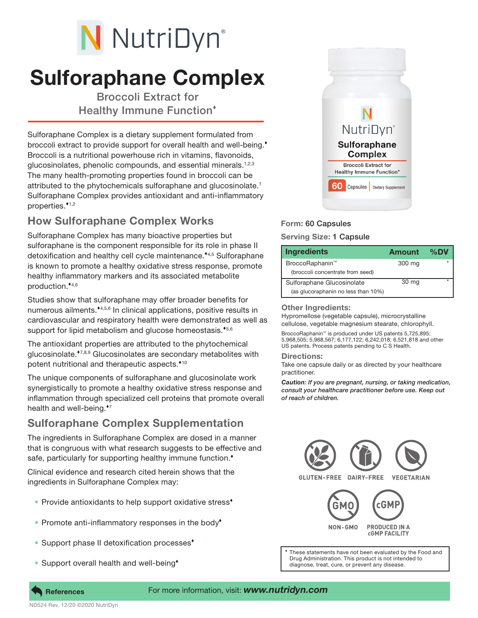# N NutriDyn®

# Sulforaphane Complex

Broccoli Extract for Healthy Immune Function

Sulforaphane Complex is a dietary supplement formulated from broccoli extract to provide support for overall health and well-being.<sup>\*</sup> Broccoli is a nutritional powerhouse rich in vitamins, flavonoids, glucosinolates, phenolic compounds, and essential minerals.1,2,3 The many health-promoting properties found in broccoli can be attributed to the phytochemicals sulforaphane and glucosinolate.1 Sulforaphane Complex provides antioxidant and anti-inflammatory properties. $*$ <sup>1,2</sup>

## How Sulforaphane Complex Works

Sulforaphane Complex has many bioactive properties but sulforaphane is the component responsible for its role in phase II detoxification and healthy cell cycle maintenance.\*4,5 Sulforaphane is known to promote a healthy oxidative stress response, promote healthy inflammatory markers and its associated metabolite production.<sup>\*4,6</sup>

Studies show that sulforaphane may offer broader benefits for numerous ailments.<sup>44,5,6</sup> In clinical applications, positive results in cardiovascular and respiratory health were demonstrated as well as support for lipid metabolism and glucose homeostasis.\*5,6

The antioxidant properties are attributed to the phytochemical glucosinolate.\*7,8,9 Glucosinolates are secondary metabolites with potent nutritional and therapeutic aspects.<sup>\*10</sup>

The unique components of sulforaphane and glucosinolate work synergistically to promote a healthy oxidative stress response and inflammation through specialized cell proteins that promote overall health and well-being.<sup>\*7</sup>

### Sulforaphane Complex Supplementation

The ingredients in Sulforaphane Complex are dosed in a manner that is congruous with what research suggests to be effective and safe, particularly for supporting healthy immune function.<sup>\*</sup>

Clinical evidence and research cited herein shows that the ingredients in Sulforaphane Complex may:

- Provide antioxidants to help support oxidative stress<sup>\*</sup>
- Promote anti-inflammatory responses in the body<sup>\*</sup>
- Support phase II detoxification processes<sup>\*</sup>
- Support overall health and well-being<sup>+</sup>



#### Form: 60 Capsules

#### Serving Size: 1 Capsule

| <b>Ingredients</b>                  | <b>Amount</b> | $\%$ DV |
|-------------------------------------|---------------|---------|
| BroccoRaphanin™                     | 300 mg        |         |
| (broccoli concentrate from seed)    |               |         |
| Sulforaphane Glucosinolate          | 30 mg         | ÷       |
| (as glucoraphanin no less than 10%) |               |         |

#### Other Ingredients:

Hypromellose (vegetable capsule), microcrystalline cellulose, vegetable magnesium stearate, chlorophyll.

BroccoRaphanin™ is produced under US patents 5,725,895; 5,968,505; 5,968,567; 6,177,122; 6,242,018; 6,521,818 and other US patents. Process patents pending to C S Health.

#### Directions:

Take one capsule daily or as directed by your healthcare practitioner.

*Caution: If you are pregnant, nursing, or taking medication, consult your healthcare practitioner before use. Keep out of reach of children.*



These statements have not been evaluated by the Food and Drug Administration. This product is not intended to diagnose, treat, cure, or prevent any disease.

ND524 Rev. 12/20 ©2020 NutriDyn

#### References For more information, visit: *www.nutridyn.com*